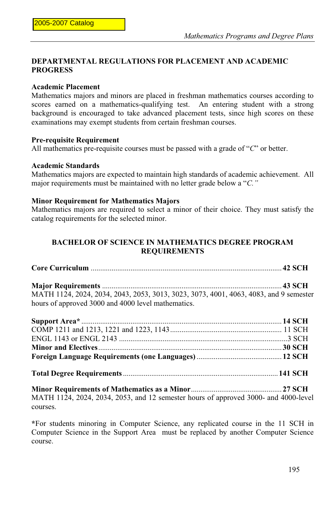## **DEPARTMENTAL REGULATIONS FOR PLACEMENT AND ACADEMIC PROGRESS**

## **Academic Placement**

Mathematics majors and minors are placed in freshman mathematics courses according to scores earned on a mathematics-qualifying test. An entering student with a strong background is encouraged to take advanced placement tests, since high scores on these examinations may exempt students from certain freshman courses.

#### **Pre-requisite Requirement**

All mathematics pre-requisite courses must be passed with a grade of "*C*" or better.

## **Academic Standards**

Mathematics majors are expected to maintain high standards of academic achievement. All major requirements must be maintained with no letter grade below a "*C."*

#### **Minor Requirement for Mathematics Majors**

Mathematics majors are required to select a minor of their choice. They must satisfy the catalog requirements for the selected minor.

## **BACHELOR OF SCIENCE IN MATHEMATICS DEGREE PROGRAM REQUIREMENTS**

| MATH 1124, 2024, 2034, 2043, 2053, 3013, 3023, 3073, 4001, 4063, 4083, and 9 semester |  |
|---------------------------------------------------------------------------------------|--|
| hours of approved 3000 and 4000 level mathematics.                                    |  |

| MATH 1124, 2024, 2034, 2053, and 12 semester hours of enproved 3000, and 4000 level |  |
|-------------------------------------------------------------------------------------|--|

MATH 1124, 2024, 2034, 2053, and 12 semester hours of approved 3000- and 4000-level courses.

**\***For students minoring in Computer Science, any replicated course in the 11 SCH in Computer Science in the Support Area must be replaced by another Computer Science course.